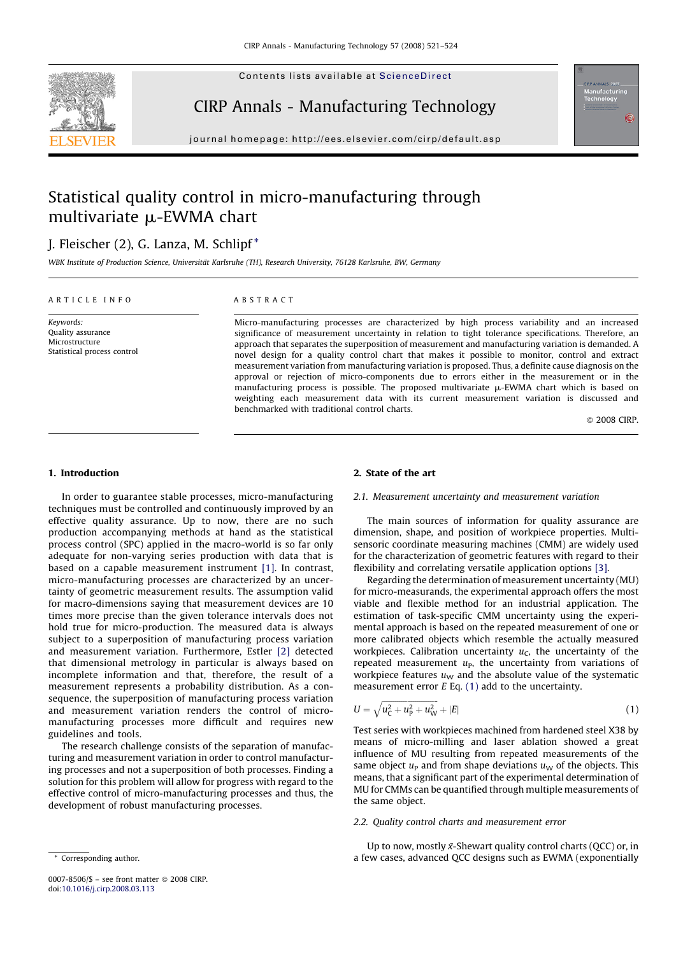<span id="page-0-0"></span>

Contents lists available at [ScienceDirect](http://www.sciencedirect.com/science/journal/00078506)

## CIRP Annals - Manufacturing Technology



journal homepage: http://ees.elsevier.com/cirp/default.asp

# Statistical quality control in micro-manufacturing through multivariate  $\mu$ -EWMA chart

### J. Fleischer (2), G. Lanza, M. Schlipf \*

WBK Institute of Production Science, Universität Karlsruhe (TH), Research University, 76128 Karlsruhe, BW, Germany

#### ARTICLE INFO

Keywords: Quality assurance Microstructure Statistical process control

#### ABSTRACT

Micro-manufacturing processes are characterized by high process variability and an increased significance of measurement uncertainty in relation to tight tolerance specifications. Therefore, an approach that separates the superposition of measurement and manufacturing variation is demanded. A novel design for a quality control chart that makes it possible to monitor, control and extract measurement variation from manufacturing variation is proposed. Thus, a definite cause diagnosis on the approval or rejection of micro-components due to errors either in the measurement or in the manufacturing process is possible. The proposed multivariate  $\mu$ -EWMA chart which is based on weighting each measurement data with its current measurement variation is discussed and benchmarked with traditional control charts.

© 2008 CIRP.

#### 1. Introduction

In order to guarantee stable processes, micro-manufacturing techniques must be controlled and continuously improved by an effective quality assurance. Up to now, there are no such production accompanying methods at hand as the statistical process control (SPC) applied in the macro-world is so far only adequate for non-varying series production with data that is based on a capable measurement instrument [\[1\].](#page--1-0) In contrast, micro-manufacturing processes are characterized by an uncertainty of geometric measurement results. The assumption valid for macro-dimensions saying that measurement devices are 10 times more precise than the given tolerance intervals does not hold true for micro-production. The measured data is always subject to a superposition of manufacturing process variation and measurement variation. Furthermore, Estler [\[2\]](#page--1-0) detected that dimensional metrology in particular is always based on incomplete information and that, therefore, the result of a measurement represents a probability distribution. As a consequence, the superposition of manufacturing process variation and measurement variation renders the control of micromanufacturing processes more difficult and requires new guidelines and tools.

The research challenge consists of the separation of manufacturing and measurement variation in order to control manufacturing processes and not a superposition of both processes. Finding a solution for this problem will allow for progress with regard to the effective control of micro-manufacturing processes and thus, the development of robust manufacturing processes.

#### 2. State of the art

#### 2.1. Measurement uncertainty and measurement variation

The main sources of information for quality assurance are dimension, shape, and position of workpiece properties. Multisensoric coordinate measuring machines (CMM) are widely used for the characterization of geometric features with regard to their flexibility and correlating versatile application options [\[3\]](#page--1-0).

Regarding the determination of measurement uncertainty (MU) for micro-measurands, the experimental approach offers the most viable and flexible method for an industrial application. The estimation of task-specific CMM uncertainty using the experimental approach is based on the repeated measurement of one or more calibrated objects which resemble the actually measured workpieces. Calibration uncertainty  $u<sub>C</sub>$ , the uncertainty of the repeated measurement  $u_{\rm P}$ , the uncertainty from variations of workpiece features  $u<sub>W</sub>$  and the absolute value of the systematic measurement error  $E$  Eq.  $(1)$  add to the uncertainty.

$$
U = \sqrt{u_{\rm C}^2 + u_{\rm P}^2 + u_{\rm W}^2} + |E| \tag{1}
$$

Test series with workpieces machined from hardened steel X38 by means of micro-milling and laser ablation showed a great influence of MU resulting from repeated measurements of the same object  $u<sub>P</sub>$  and from shape deviations  $u<sub>W</sub>$  of the objects. This means, that a significant part of the experimental determination of MU for CMMs can be quantified through multiple measurements of the same object.

#### 2.2. Quality control charts and measurement error

Up to now, mostly  $\bar{x}$ -Shewart quality control charts (QCC) or, in a few cases, advanced QCC designs such as EWMA (exponentially

<sup>\*</sup> Corresponding author.

<sup>0007-8506/\$ –</sup> see front matter © 2008 CIRP. doi:[10.1016/j.cirp.2008.03.113](http://dx.doi.org/10.1016/j.cirp.2008.03.113)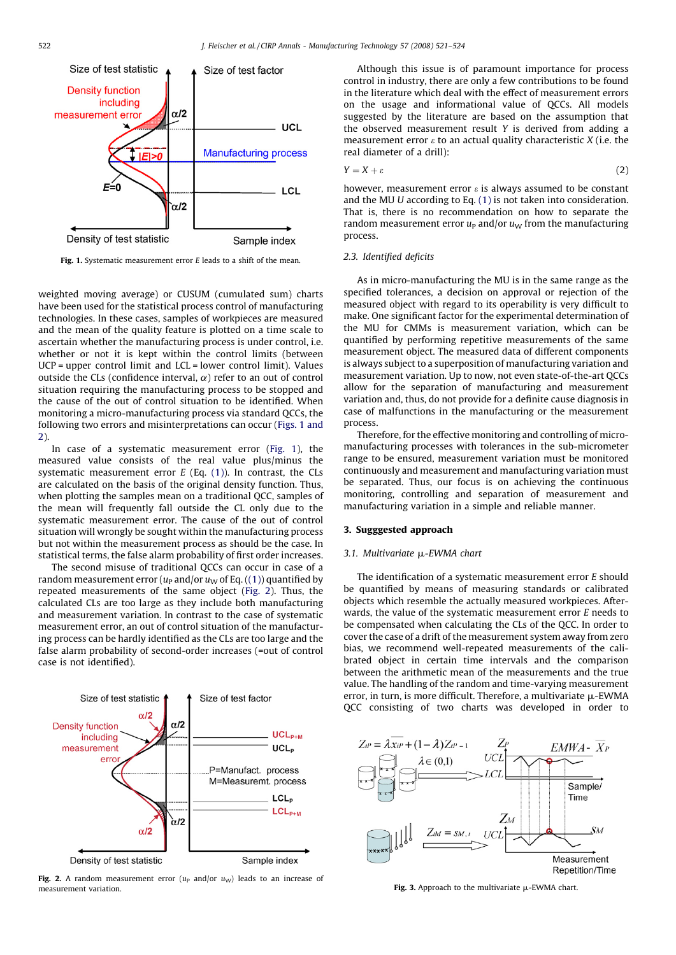

Fig. 1. Systematic measurement error  $E$  leads to a shift of the mean.

weighted moving average) or CUSUM (cumulated sum) charts have been used for the statistical process control of manufacturing technologies. In these cases, samples of workpieces are measured and the mean of the quality feature is plotted on a time scale to ascertain whether the manufacturing process is under control, i.e. whether or not it is kept within the control limits (between UCP = upper control limit and LCL = lower control limit). Values outside the CLs (confidence interval,  $\alpha$ ) refer to an out of control situation requiring the manufacturing process to be stopped and the cause of the out of control situation to be identified. When monitoring a micro-manufacturing process via standard QCCs, the following two errors and misinterpretations can occur (Figs. 1 and 2).

In case of a systematic measurement error (Fig. 1), the measured value consists of the real value plus/minus the systematic measurement error  $E$  (Eq. [\(1\)](#page-0-0)). In contrast, the CLs are calculated on the basis of the original density function. Thus, when plotting the samples mean on a traditional QCC, samples of the mean will frequently fall outside the CL only due to the systematic measurement error. The cause of the out of control situation will wrongly be sought within the manufacturing process but not within the measurement process as should be the case. In statistical terms, the false alarm probability of first order increases.

The second misuse of traditional QCCs can occur in case of a random measurement error ( $u<sub>P</sub>$  and/or  $u<sub>W</sub>$  of Eq. ([\(1\)\)](#page-0-0) quantified by repeated measurements of the same object (Fig. 2). Thus, the calculated CLs are too large as they include both manufacturing and measurement variation. In contrast to the case of systematic measurement error, an out of control situation of the manufacturing process can be hardly identified as the CLs are too large and the false alarm probability of second-order increases (=out of control case is not identified).



**Fig. 2.** A random measurement error  $(u_P \text{ and/or } u_W)$  leads to an increase of measurement variation.

Although this issue is of paramount importance for process control in industry, there are only a few contributions to be found in the literature which deal with the effect of measurement errors on the usage and informational value of QCCs. All models suggested by the literature are based on the assumption that the observed measurement result Y is derived from adding a measurement error  $\varepsilon$  to an actual quality characteristic  $X$  (i.e. the real diameter of a drill):

$$
Y = X + \varepsilon \tag{2}
$$

however, measurement error  $\varepsilon$  is always assumed to be constant and the MU U according to Eq. [\(1\)](#page-0-0) is not taken into consideration. That is, there is no recommendation on how to separate the random measurement error  $u<sub>P</sub>$  and/or  $u<sub>W</sub>$  from the manufacturing process.

#### 2.3. Identified deficits

As in micro-manufacturing the MU is in the same range as the specified tolerances, a decision on approval or rejection of the measured object with regard to its operability is very difficult to make. One significant factor for the experimental determination of the MU for CMMs is measurement variation, which can be quantified by performing repetitive measurements of the same measurement object. The measured data of different components is always subject to a superposition of manufacturing variation and measurement variation. Up to now, not even state-of-the-art QCCs allow for the separation of manufacturing and measurement variation and, thus, do not provide for a definite cause diagnosis in case of malfunctions in the manufacturing or the measurement process.

Therefore, for the effective monitoring and controlling of micromanufacturing processes with tolerances in the sub-micrometer range to be ensured, measurement variation must be monitored continuously and measurement and manufacturing variation must be separated. Thus, our focus is on achieving the continuous monitoring, controlling and separation of measurement and manufacturing variation in a simple and reliable manner.

#### 3. Sugggested approach

#### 3.1. Multivariate µ-EWMA chart

The identification of a systematic measurement error E should be quantified by means of measuring standards or calibrated objects which resemble the actually measured workpieces. Afterwards, the value of the systematic measurement error  $E$  needs to be compensated when calculating the CLs of the QCC. In order to cover the case of a drift of the measurement system away from zero bias, we recommend well-repeated measurements of the calibrated object in certain time intervals and the comparison between the arithmetic mean of the measurements and the true value. The handling of the random and time-varying measurement error, in turn, is more difficult. Therefore, a multivariate  $\mu$ -EWMA QCC consisting of two charts was developed in order to



Fig. 3. Approach to the multivariate  $\mu$ -EWMA chart.